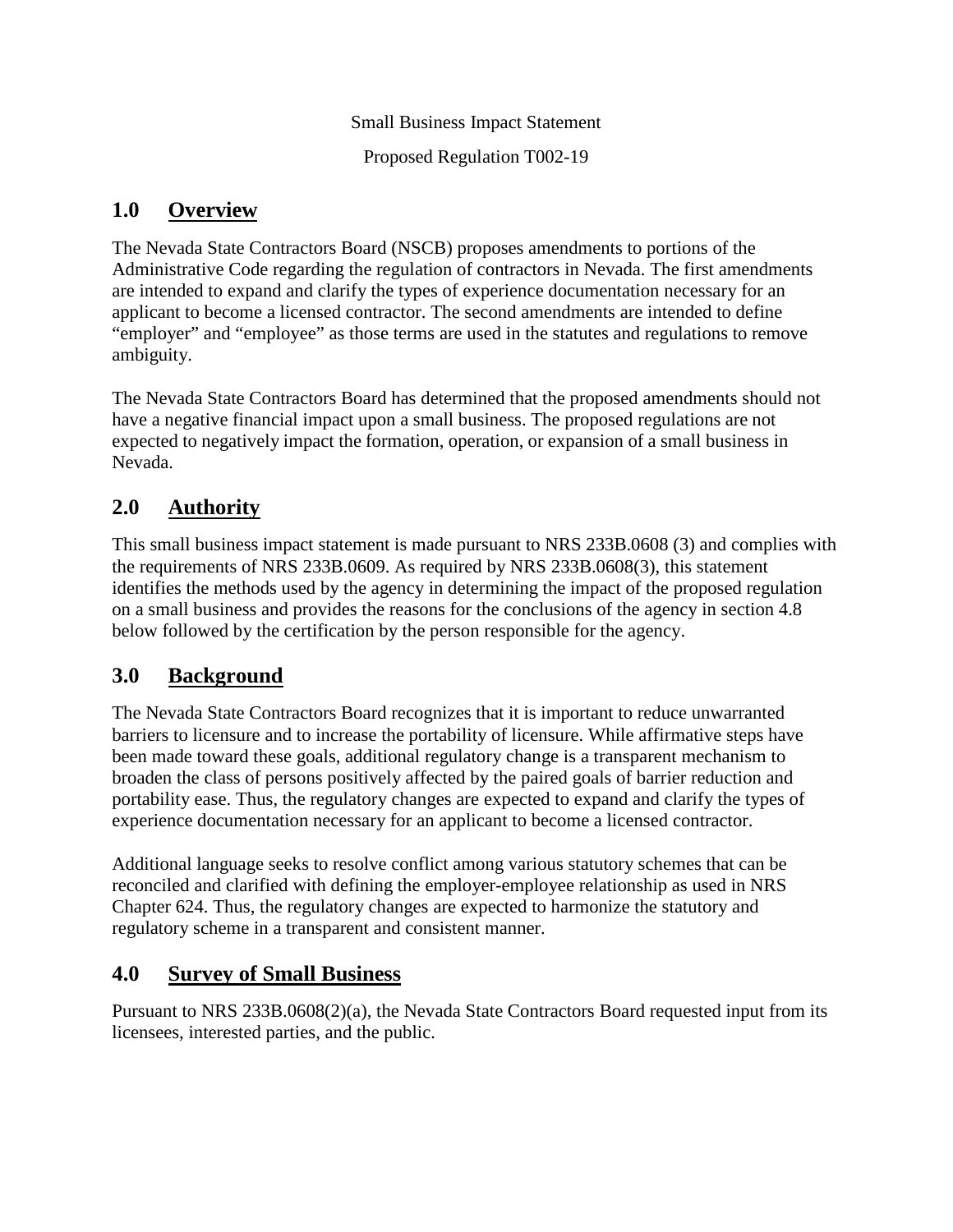Small Business Impact Statement

Proposed Regulation T002-19

#### **1.0 Overview**

The Nevada State Contractors Board (NSCB) proposes amendments to portions of the Administrative Code regarding the regulation of contractors in Nevada. The first amendments are intended to expand and clarify the types of experience documentation necessary for an applicant to become a licensed contractor. The second amendments are intended to define "employer" and "employee" as those terms are used in the statutes and regulations to remove ambiguity.

The Nevada State Contractors Board has determined that the proposed amendments should not have a negative financial impact upon a small business. The proposed regulations are not expected to negatively impact the formation, operation, or expansion of a small business in Nevada.

## **2.0 Authority**

This small business impact statement is made pursuant to NRS 233B.0608 (3) and complies with the requirements of NRS 233B.0609. As required by NRS 233B.0608(3), this statement identifies the methods used by the agency in determining the impact of the proposed regulation on a small business and provides the reasons for the conclusions of the agency in section 4.8 below followed by the certification by the person responsible for the agency.

### **3.0 Background**

The Nevada State Contractors Board recognizes that it is important to reduce unwarranted barriers to licensure and to increase the portability of licensure. While affirmative steps have been made toward these goals, additional regulatory change is a transparent mechanism to broaden the class of persons positively affected by the paired goals of barrier reduction and portability ease. Thus, the regulatory changes are expected to expand and clarify the types of experience documentation necessary for an applicant to become a licensed contractor.

Additional language seeks to resolve conflict among various statutory schemes that can be reconciled and clarified with defining the employer-employee relationship as used in NRS Chapter 624. Thus, the regulatory changes are expected to harmonize the statutory and regulatory scheme in a transparent and consistent manner.

### **4.0 Survey of Small Business**

Pursuant to NRS 233B.0608(2)(a), the Nevada State Contractors Board requested input from its licensees, interested parties, and the public.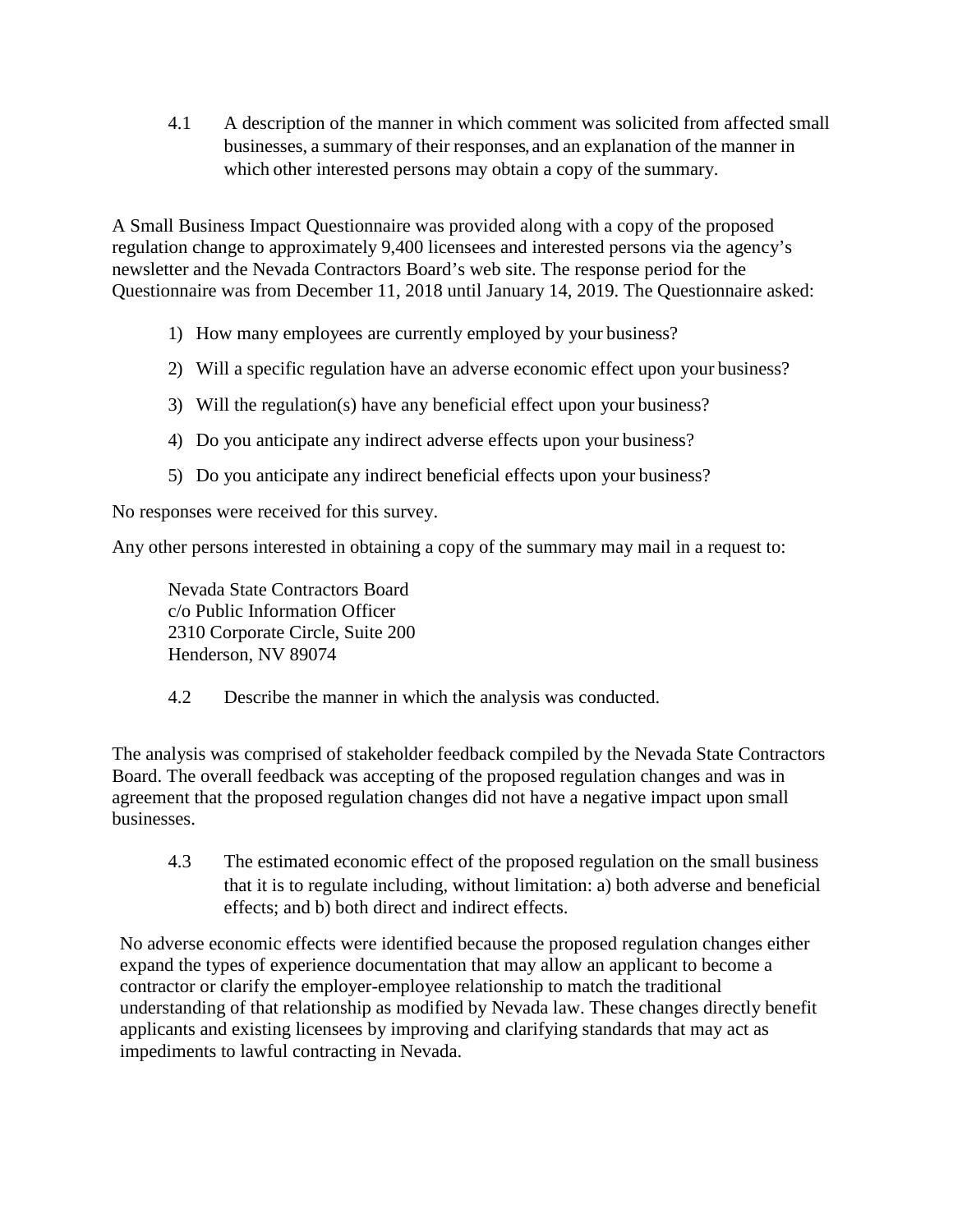4.1 A description of the manner in which comment was solicited from affected small businesses, a summary of their responses, and an explanation of the manner in which other interested persons may obtain a copy of the summary.

A Small Business Impact Questionnaire was provided along with a copy of the proposed regulation change to approximately 9,400 licensees and interested persons via the agency's newsletter and the Nevada Contractors Board's web site. The response period for the Questionnaire was from December 11, 2018 until January 14, 2019. The Questionnaire asked:

- 1) How many employees are currently employed by your business?
- 2) Will a specific regulation have an adverse economic effect upon your business?
- 3) Will the regulation(s) have any beneficial effect upon your business?
- 4) Do you anticipate any indirect adverse effects upon your business?
- 5) Do you anticipate any indirect beneficial effects upon your business?

No responses were received for this survey.

Any other persons interested in obtaining a copy of the summary may mail in a request to:

Nevada State Contractors Board c/o Public Information Officer 2310 Corporate Circle, Suite 200 Henderson, NV 89074

4.2 Describe the manner in which the analysis was conducted.

The analysis was comprised of stakeholder feedback compiled by the Nevada State Contractors Board. The overall feedback was accepting of the proposed regulation changes and was in agreement that the proposed regulation changes did not have a negative impact upon small businesses.

4.3 The estimated economic effect of the proposed regulation on the small business that it is to regulate including, without limitation: a) both adverse and beneficial effects; and b) both direct and indirect effects.

No adverse economic effects were identified because the proposed regulation changes either expand the types of experience documentation that may allow an applicant to become a contractor or clarify the employer-employee relationship to match the traditional understanding of that relationship as modified by Nevada law. These changes directly benefit applicants and existing licensees by improving and clarifying standards that may act as impediments to lawful contracting in Nevada.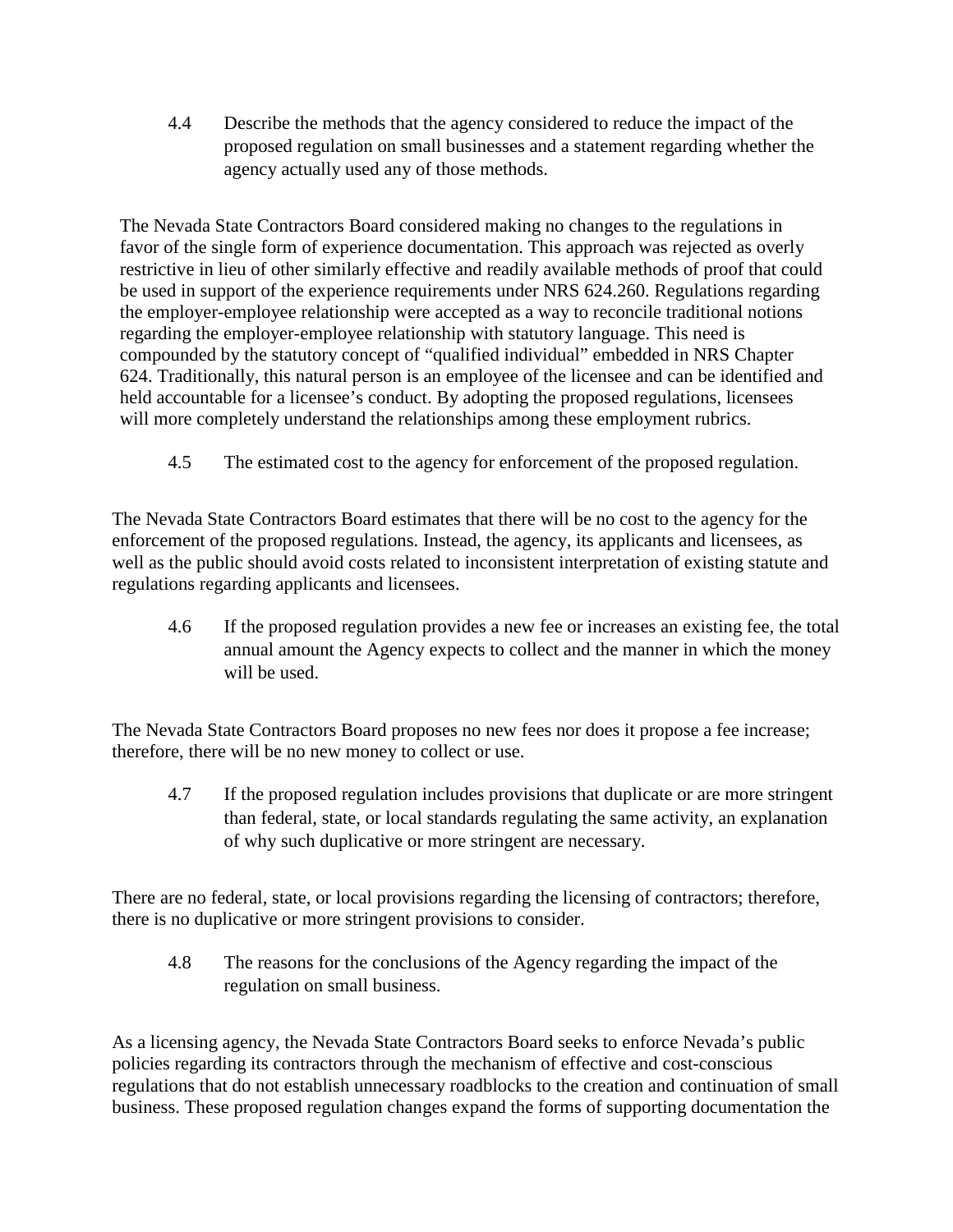4.4 Describe the methods that the agency considered to reduce the impact of the proposed regulation on small businesses and a statement regarding whether the agency actually used any of those methods.

The Nevada State Contractors Board considered making no changes to the regulations in favor of the single form of experience documentation. This approach was rejected as overly restrictive in lieu of other similarly effective and readily available methods of proof that could be used in support of the experience requirements under NRS 624.260. Regulations regarding the employer-employee relationship were accepted as a way to reconcile traditional notions regarding the employer-employee relationship with statutory language. This need is compounded by the statutory concept of "qualified individual" embedded in NRS Chapter 624. Traditionally, this natural person is an employee of the licensee and can be identified and held accountable for a licensee's conduct. By adopting the proposed regulations, licensees will more completely understand the relationships among these employment rubrics.

4.5 The estimated cost to the agency for enforcement of the proposed regulation.

The Nevada State Contractors Board estimates that there will be no cost to the agency for the enforcement of the proposed regulations. Instead, the agency, its applicants and licensees, as well as the public should avoid costs related to inconsistent interpretation of existing statute and regulations regarding applicants and licensees.

4.6 If the proposed regulation provides a new fee or increases an existing fee, the total annual amount the Agency expects to collect and the manner in which the money will be used.

The Nevada State Contractors Board proposes no new fees nor does it propose a fee increase; therefore, there will be no new money to collect or use.

4.7 If the proposed regulation includes provisions that duplicate or are more stringent than federal, state, or local standards regulating the same activity, an explanation of why such duplicative or more stringent are necessary.

There are no federal, state, or local provisions regarding the licensing of contractors; therefore, there is no duplicative or more stringent provisions to consider.

4.8 The reasons for the conclusions of the Agency regarding the impact of the regulation on small business.

As a licensing agency, the Nevada State Contractors Board seeks to enforce Nevada's public policies regarding its contractors through the mechanism of effective and cost-conscious regulations that do not establish unnecessary roadblocks to the creation and continuation of small business. These proposed regulation changes expand the forms of supporting documentation the